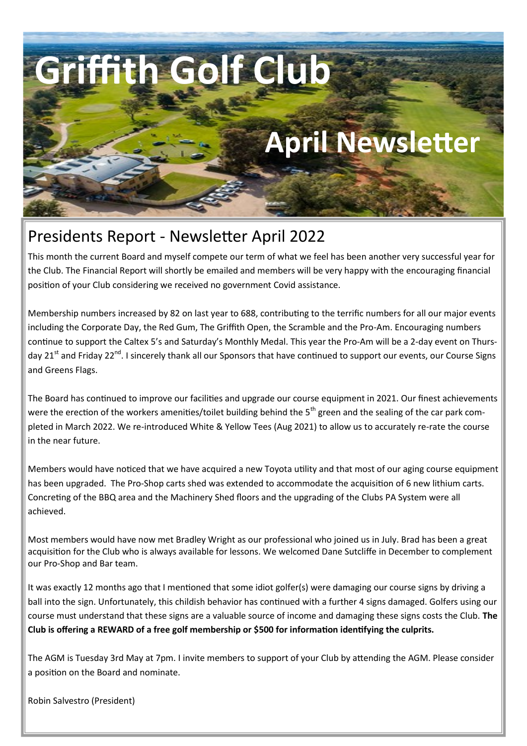# **Griffith Golf Club**

## **April Newsletter**

### Presidents Report - Newsletter April 2022

This month the current Board and myself compete our term of what we feel has been another very successful year for the Club. The Financial Report will shortly be emailed and members will be very happy with the encouraging financial position of your Club considering we received no government Covid assistance.

Membership numbers increased by 82 on last year to 688, contributing to the terrific numbers for all our major events including the Corporate Day, the Red Gum, The Griffith Open, the Scramble and the Pro-Am. Encouraging numbers continue to support the Caltex 5's and Saturday's Monthly Medal. This year the Pro-Am will be a 2-day event on Thursday 21<sup>st</sup> and Friday 22<sup>nd</sup>. I sincerely thank all our Sponsors that have continued to support our events, our Course Signs and Greens Flags.

The Board has continued to improve our facilities and upgrade our course equipment in 2021. Our finest achievements were the erection of the workers amenities/toilet building behind the  $5<sup>th</sup>$  green and the sealing of the car park completed in March 2022. We re-introduced White & Yellow Tees (Aug 2021) to allow us to accurately re-rate the course in the near future.

Members would have noticed that we have acquired a new Toyota utility and that most of our aging course equipment has been upgraded. The Pro-Shop carts shed was extended to accommodate the acquisition of 6 new lithium carts. Concreting of the BBQ area and the Machinery Shed floors and the upgrading of the Clubs PA System were all achieved.

Most members would have now met Bradley Wright as our professional who joined us in July. Brad has been a great acquisition for the Club who is always available for lessons. We welcomed Dane Sutcliffe in December to complement our Pro-Shop and Bar team.

It was exactly 12 months ago that I mentioned that some idiot golfer(s) were damaging our course signs by driving a ball into the sign. Unfortunately, this childish behavior has continued with a further 4 signs damaged. Golfers using our course must understand that these signs are a valuable source of income and damaging these signs costs the Club. **The Club is offering a REWARD of a free golf membership or \$500 for information identifying the culprits.**

The AGM is Tuesday 3rd May at 7pm. I invite members to support of your Club by attending the AGM. Please consider a position on the Board and nominate.

Robin Salvestro (President)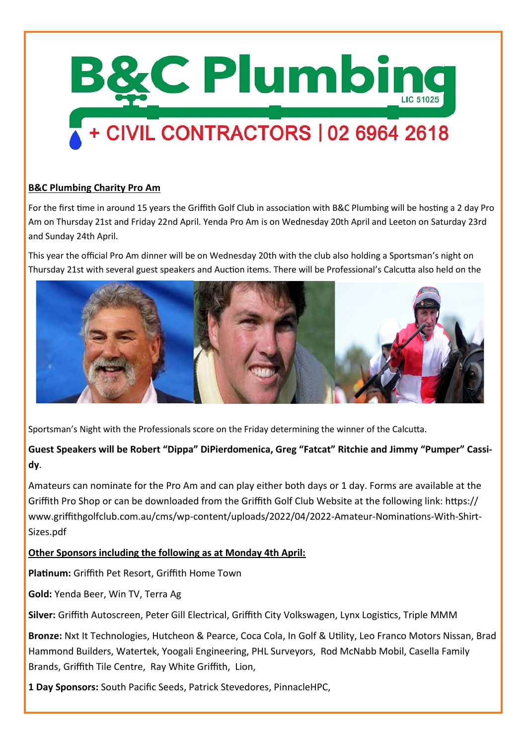

### + CIVIL CONTRACTORS | 02 6964 2618

#### **B&C Plumbing Charity Pro Am**

For the first time in around 15 years the Griffith Golf Club in association with B&C Plumbing will be hosting a 2 day Pro Am on Thursday 21st and Friday 22nd April. Yenda Pro Am is on Wednesday 20th April and Leeton on Saturday 23rd and Sunday 24th April.

This year the official Pro Am dinner will be on Wednesday 20th with the club also holding a Sportsman's night on Thursday 21st with several guest speakers and Auction items. There will be Professional's Calcutta also held on the



Sportsman's Night with the Professionals score on the Friday determining the winner of the Calcutta.

### **Guest Speakers will be Robert "Dippa" DiPierdomenica, Greg "Fatcat" Ritchie and Jimmy "Pumper" Cassidy**.

Amateurs can nominate for the Pro Am and can play either both days or 1 day. Forms are available at the Griffith Pro Shop or can be downloaded from the Griffith Golf Club Website at the following link: https:// www.griffithgolfclub.com.au/cms/wp-content/uploads/2022/04/2022-Amateur-Nominations-With-Shirt-Sizes.pdf

**Other Sponsors including the following as at Monday 4th April:**

**Platinum:** Griffith Pet Resort, Griffith Home Town

**Gold:** Yenda Beer, Win TV, Terra Ag

**Silver:** Griffith Autoscreen, Peter Gill Electrical, Griffith City Volkswagen, Lynx Logistics, Triple MMM

**Bronze:** Nxt It Technologies, Hutcheon & Pearce, Coca Cola, In Golf & Utility, Leo Franco Motors Nissan, Brad Hammond Builders, Watertek, Yoogali Engineering, PHL Surveyors, Rod McNabb Mobil, Casella Family Brands, Griffith Tile Centre, Ray White Griffith, Lion,

**1 Day Sponsors:** South Pacific Seeds, Patrick Stevedores, PinnacleHPC,